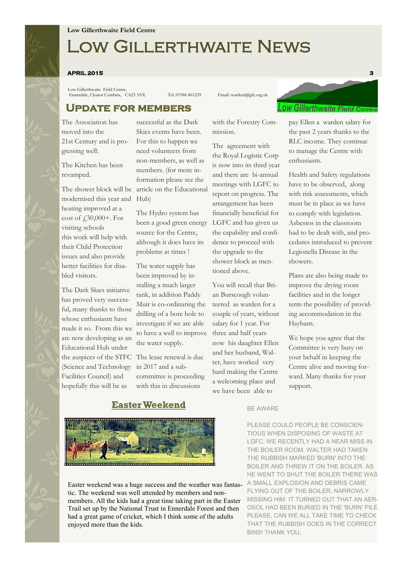# Low Gillerthwaite News

#### **APRIL 2015 3**

Low Gillerthwaite Field Centre, Ennerdale, Cleator Cumbria, CA23 3AX Tel: 01946 861229 Email: warden@lgfc.org.uk

# **Update for members**

The Association has moved into the 21st Century and is progressing well:

The Kitchen has been revamped.

modernised this year and Hub) heating improved at a cost of £30,000+. For visiting schools this work will help with their Child Protection issues and also provide better facilities for disabled visitors.

The Dark Skies initiative has proved very successful, many thanks to those whose enthusiasm have made it so. From this we are now developing as an Educational Hub under the auspices of the STFC The lease renewal is due (Science and Technology Facilities Council) and hopefully this will be as

The shower block will be article on the Educational successful as the Dark Skies events have been. For this to happen we need volunteers from non-members, as well as members. (for more information please see the

> The Hydro system has been a good green energy source for the Centre, although it does have its problems at times !

> The water supply has been improved by installing a much larger tank, in addition Paddy Muir is co-ordinating the drilling of a bore hole to investigate if we are able to have a well to improve the water supply.

in 2017 and a subcommittee is proceeding with this in discussions

### with the Forestry Commission.

The agreement with the Royal Logistic Corp is now into its third year and there are bi-annual meetings with LGFC to report on progress. The arrangement has been financially beneficial for LGFC and has given us the capability and confidence to proceed with the upgrade to the shower block as mentioned above.

You will recall that Brian Burscough volunteered as warden for a couple of years, without salary for 1 year. For three and half years now his daughter Ellen and her husband, Walter, have worked very hard making the Centre a welcoming place and we have been able to



pay Ellen a warden salary for the past 2 years thanks to the RLC income. They continue to manage the Centre with enthusiasm.

Health and Safety regulations have to be observed, along with risk assessments, which must be in place as we have to comply with legislation. Asbestos in the classroom had to be dealt with, and procedures introduced to prevent Legionella Disease in the showers.

Plans are also being made to improve the drying room facilities and in the longer term the possibility of providing accommodation in the Haybarn.

We hope you agree that the Committee is very busy on your behalf in keeping the Centre alive and moving forward. Many thanks for your support.

# **Easter Weekend**





Easter weekend was a huge success and the weather was fantastic. The weekend was well attended by members and nonmembers. All the kids had a great time taking part in the Easter Trail set up by the National Trust in Ennerdale Forest and then had a great game of cricket, which I think some of the adults enjoyed more than the kids.

PLEASE COULD PEOPLE BE CONSCIEN-TIOUS WHEN DISPOSING OF WASTE AT LGFC. WE RECENTLY HAD A NEAR MISS IN THE BOILER ROOM. WALTER HAD TAKEN THE RUBBISH MARKED 'BURN' INTO THE BOILER AND THREW IT ON THE BOILER. AS HE WENT TO SHUT THE BOILER THERE WAS A SMALL EXPLOSION AND DEBRIS CAME FLYING OUT OF THE BOILER, NARROWLY MISSING HIM. IT TURNED OUT THAT AN AER-OSOL HAD BEEN BURIED IN THE 'BURN' PILE. PLEASE, CAN WE ALL TAKE TIME TO CHECK THAT THE RUBBISH GOES IN THE CORRECT BINS! THANK YOU**.**